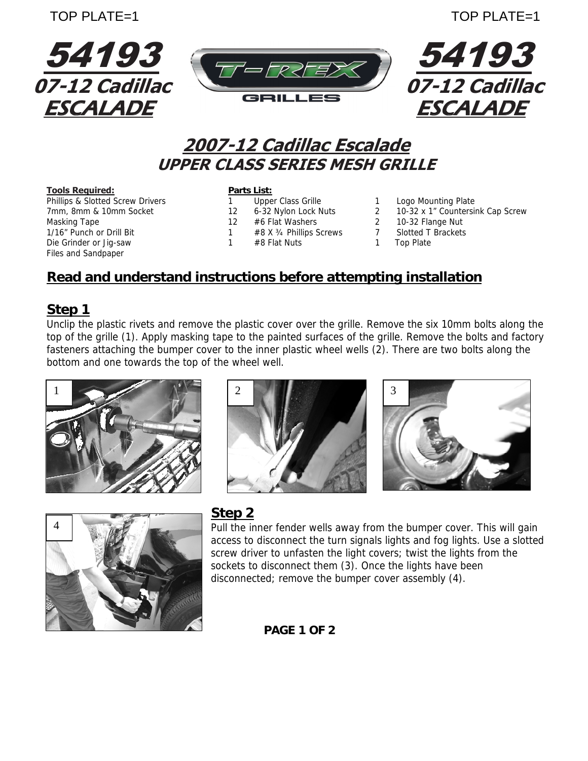

# **2007-12 Cadillac Escalade UPPER CLASS SERIES MESH GRILLE**

**Tools Required:**<br> **Phillips & Slotted Screw Drivers Phillips & Slotted Screw Drivers Phillips A Phillips & Scrille** Phillips & Slotted Screw Drivers 1 Upper Class Grille 1 Logo Mounting Plate Masking Tape 12 #6 Flat Washers 2 10-32 Flange Nut 1/16" Punch or Drill Bit 1 #8 X 34 Phillips Screws 7 Slotted T Brackets Die Grinder or Jig-saw 1 #8 Flat Nuts 1 Top Plate Files and Sandpaper

- 
- 
- 
- 
- 
- 
- 7mm, 8mm & 10mm Socket 12 6-32 Nylon Lock Nuts 2 10-32 x 1" Countersink Cap Screw
	-
	-
	-

### **Read and understand instructions before attempting installation**

#### **Step 1**

Unclip the plastic rivets and remove the plastic cover over the grille. Remove the six 10mm bolts along the top of the grille (1). Apply masking tape to the painted surfaces of the grille. Remove the bolts and factory fasteners attaching the bumper cover to the inner plastic wheel wells (2). There are two bolts along the bottom and one towards the top of the wheel well.







#### **Step 2**

Pull the inner fender wells away from the bumper cover. This will gain access to disconnect the turn signals lights and fog lights. Use a slotted screw driver to unfasten the light covers; twist the lights from the sockets to disconnect them (3). Once the lights have been disconnected; remove the bumper cover assembly (4).

#### **PAGE 1 OF 2**